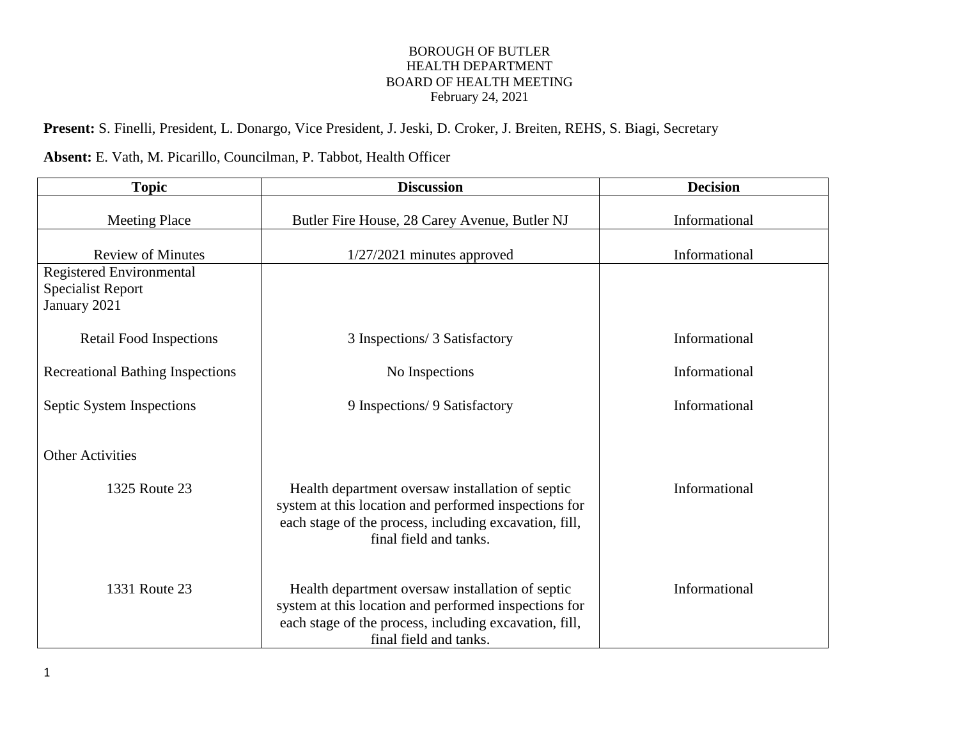**Present:** S. Finelli, President, L. Donargo, Vice President, J. Jeski, D. Croker, J. Breiten, REHS, S. Biagi, Secretary

**Absent:** E. Vath, M. Picarillo, Councilman, P. Tabbot, Health Officer

| <b>Topic</b>                                                                | <b>Discussion</b>                                                                                                                                                                             | <b>Decision</b> |
|-----------------------------------------------------------------------------|-----------------------------------------------------------------------------------------------------------------------------------------------------------------------------------------------|-----------------|
| <b>Meeting Place</b>                                                        | Butler Fire House, 28 Carey Avenue, Butler NJ                                                                                                                                                 | Informational   |
| <b>Review of Minutes</b>                                                    | $1/27/2021$ minutes approved                                                                                                                                                                  | Informational   |
| <b>Registered Environmental</b><br><b>Specialist Report</b><br>January 2021 |                                                                                                                                                                                               |                 |
| <b>Retail Food Inspections</b>                                              | 3 Inspections/ 3 Satisfactory                                                                                                                                                                 | Informational   |
| <b>Recreational Bathing Inspections</b>                                     | No Inspections                                                                                                                                                                                | Informational   |
| Septic System Inspections                                                   | 9 Inspections/ 9 Satisfactory                                                                                                                                                                 | Informational   |
| <b>Other Activities</b><br>1325 Route 23                                    | Health department oversaw installation of septic<br>system at this location and performed inspections for                                                                                     | Informational   |
|                                                                             | each stage of the process, including excavation, fill,<br>final field and tanks.                                                                                                              |                 |
| 1331 Route 23                                                               | Health department oversaw installation of septic<br>system at this location and performed inspections for<br>each stage of the process, including excavation, fill,<br>final field and tanks. | Informational   |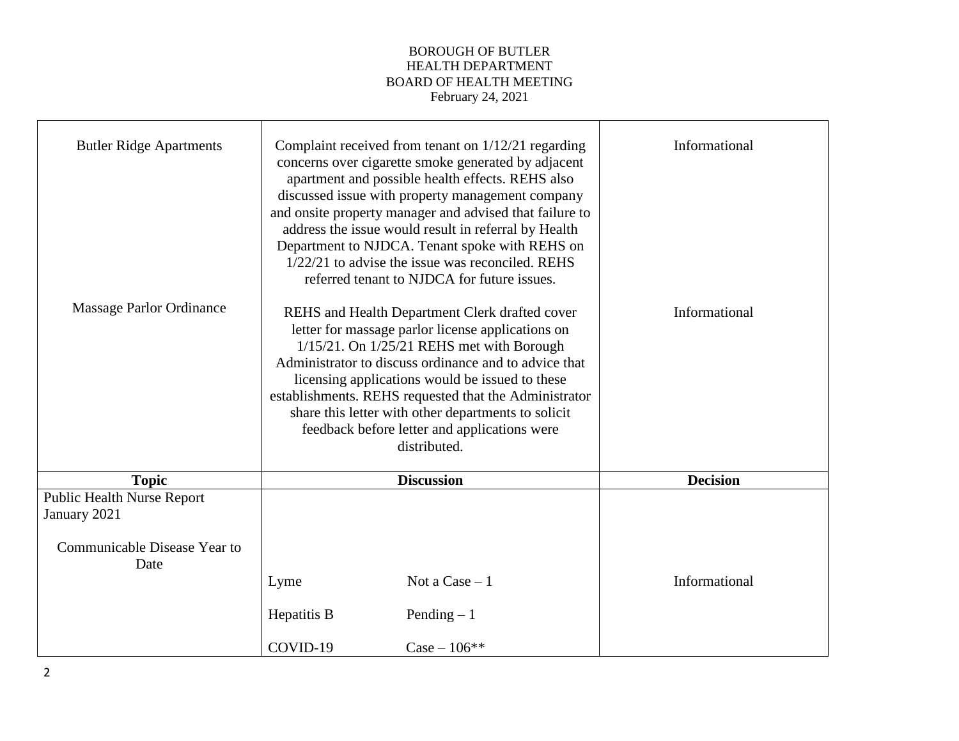| <b>Butler Ridge Apartments</b><br>Massage Parlor Ordinance |                   | Complaint received from tenant on 1/12/21 regarding<br>concerns over cigarette smoke generated by adjacent<br>apartment and possible health effects. REHS also<br>discussed issue with property management company<br>and onsite property manager and advised that failure to<br>address the issue would result in referral by Health<br>Department to NJDCA. Tenant spoke with REHS on<br>$1/22/21$ to advise the issue was reconciled. REHS<br>referred tenant to NJDCA for future issues.<br>REHS and Health Department Clerk drafted cover<br>letter for massage parlor license applications on<br>$1/15/21$ . On $1/25/21$ REHS met with Borough<br>Administrator to discuss ordinance and to advice that<br>licensing applications would be issued to these<br>establishments. REHS requested that the Administrator<br>share this letter with other departments to solicit<br>feedback before letter and applications were<br>distributed. | Informational<br>Informational |
|------------------------------------------------------------|-------------------|---------------------------------------------------------------------------------------------------------------------------------------------------------------------------------------------------------------------------------------------------------------------------------------------------------------------------------------------------------------------------------------------------------------------------------------------------------------------------------------------------------------------------------------------------------------------------------------------------------------------------------------------------------------------------------------------------------------------------------------------------------------------------------------------------------------------------------------------------------------------------------------------------------------------------------------------------|--------------------------------|
| <b>Topic</b>                                               | <b>Discussion</b> |                                                                                                                                                                                                                                                                                                                                                                                                                                                                                                                                                                                                                                                                                                                                                                                                                                                                                                                                                   | <b>Decision</b>                |
| <b>Public Health Nurse Report</b>                          |                   |                                                                                                                                                                                                                                                                                                                                                                                                                                                                                                                                                                                                                                                                                                                                                                                                                                                                                                                                                   |                                |
| January 2021                                               |                   |                                                                                                                                                                                                                                                                                                                                                                                                                                                                                                                                                                                                                                                                                                                                                                                                                                                                                                                                                   |                                |
| Communicable Disease Year to<br>Date                       |                   |                                                                                                                                                                                                                                                                                                                                                                                                                                                                                                                                                                                                                                                                                                                                                                                                                                                                                                                                                   |                                |
|                                                            | Lyme              | Not a $Case - 1$                                                                                                                                                                                                                                                                                                                                                                                                                                                                                                                                                                                                                                                                                                                                                                                                                                                                                                                                  | Informational                  |
|                                                            | Hepatitis B       | Pending $-1$                                                                                                                                                                                                                                                                                                                                                                                                                                                                                                                                                                                                                                                                                                                                                                                                                                                                                                                                      |                                |
|                                                            | COVID-19          | $Case - 106$ **                                                                                                                                                                                                                                                                                                                                                                                                                                                                                                                                                                                                                                                                                                                                                                                                                                                                                                                                   |                                |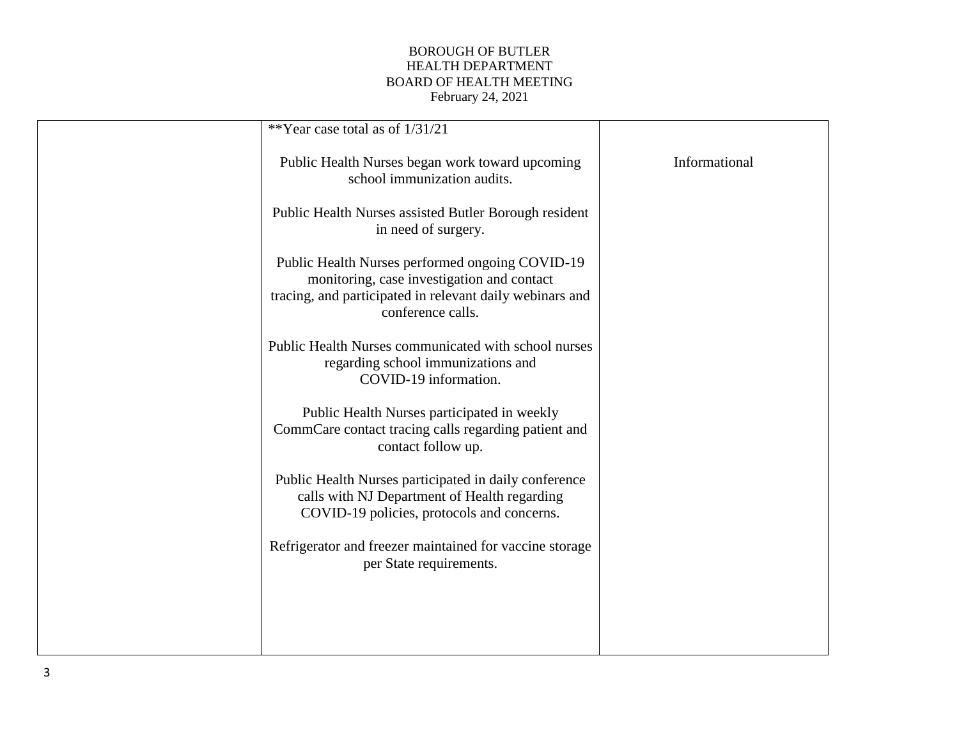| **Year case total as of 1/31/21                                                                                                                                                |               |
|--------------------------------------------------------------------------------------------------------------------------------------------------------------------------------|---------------|
| Public Health Nurses began work toward upcoming<br>school immunization audits.                                                                                                 | Informational |
| Public Health Nurses assisted Butler Borough resident<br>in need of surgery.                                                                                                   |               |
| Public Health Nurses performed ongoing COVID-19<br>monitoring, case investigation and contact<br>tracing, and participated in relevant daily webinars and<br>conference calls. |               |
| Public Health Nurses communicated with school nurses<br>regarding school immunizations and<br>COVID-19 information.                                                            |               |
| Public Health Nurses participated in weekly<br>CommCare contact tracing calls regarding patient and<br>contact follow up.                                                      |               |
| Public Health Nurses participated in daily conference<br>calls with NJ Department of Health regarding<br>COVID-19 policies, protocols and concerns.                            |               |
| Refrigerator and freezer maintained for vaccine storage<br>per State requirements.                                                                                             |               |
|                                                                                                                                                                                |               |
|                                                                                                                                                                                |               |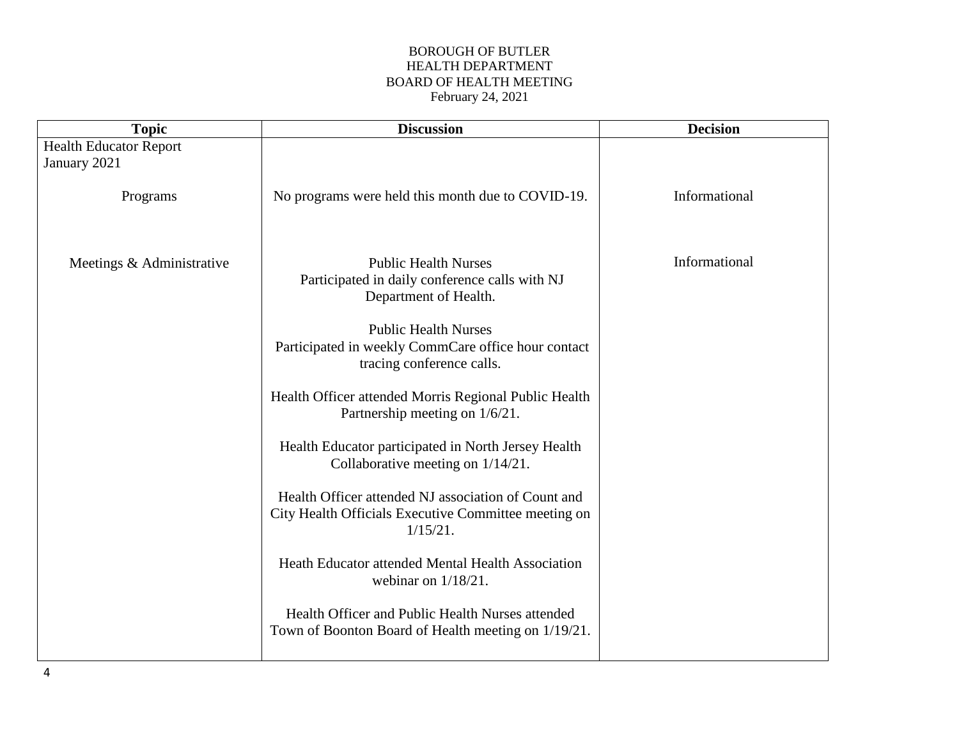| <b>Topic</b>                  | <b>Discussion</b>                                                                                                          | <b>Decision</b> |
|-------------------------------|----------------------------------------------------------------------------------------------------------------------------|-----------------|
| <b>Health Educator Report</b> |                                                                                                                            |                 |
| January 2021                  |                                                                                                                            |                 |
| Programs                      | No programs were held this month due to COVID-19.                                                                          | Informational   |
| Meetings & Administrative     | <b>Public Health Nurses</b><br>Participated in daily conference calls with NJ<br>Department of Health.                     | Informational   |
|                               | <b>Public Health Nurses</b><br>Participated in weekly CommCare office hour contact<br>tracing conference calls.            |                 |
|                               | Health Officer attended Morris Regional Public Health<br>Partnership meeting on 1/6/21.                                    |                 |
|                               | Health Educator participated in North Jersey Health<br>Collaborative meeting on 1/14/21.                                   |                 |
|                               | Health Officer attended NJ association of Count and<br>City Health Officials Executive Committee meeting on<br>$1/15/21$ . |                 |
|                               | Heath Educator attended Mental Health Association<br>webinar on $1/18/21$ .                                                |                 |
|                               | Health Officer and Public Health Nurses attended<br>Town of Boonton Board of Health meeting on 1/19/21.                    |                 |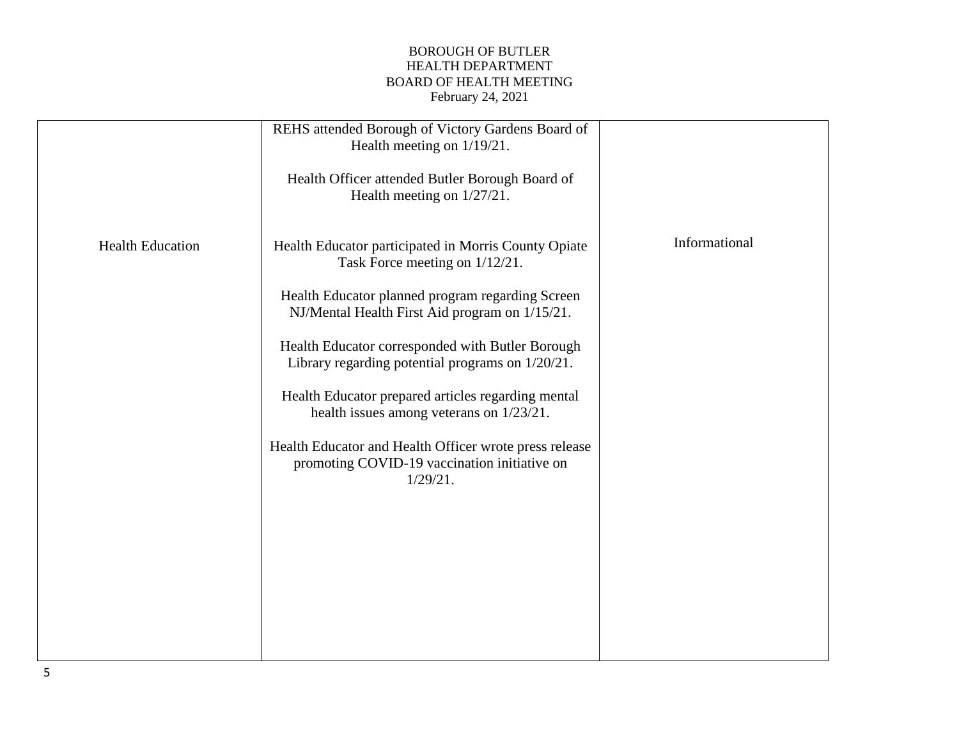| Informational<br><b>Health Education</b><br>Health Educator participated in Morris County Opiate<br>Task Force meeting on $1/12/21$ .<br>Health Educator planned program regarding Screen<br>NJ/Mental Health First Aid program on 1/15/21.<br>Health Educator corresponded with Butler Borough<br>Library regarding potential programs on 1/20/21.<br>Health Educator prepared articles regarding mental |  |
|-----------------------------------------------------------------------------------------------------------------------------------------------------------------------------------------------------------------------------------------------------------------------------------------------------------------------------------------------------------------------------------------------------------|--|
| health issues among veterans on $1/23/21$ .<br>Health Educator and Health Officer wrote press release<br>promoting COVID-19 vaccination initiative on<br>1/29/21.                                                                                                                                                                                                                                         |  |